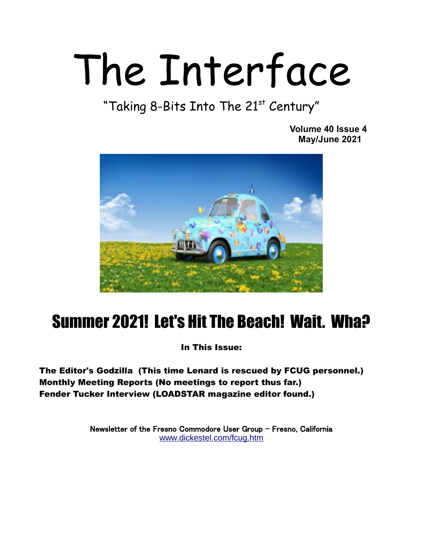# The Interface

"Taking 8-Bits Into The 21st Century"

 **Volume 40 Issue 4 May/June 2021** 



## Summer 2021! Let's Hit The Beach! Wait. Wha?

In This Issue:

The Editor's Godzilla (This time Lenard is rescued by FCUG personnel.) Monthly Meeting Reports (No meetings to report thus far.) Fender Tucker Interview (LOADSTAR magazine editor found.)

> Newsletter of the Fresno Commodore User Group – Fresno, California [www.dickestel.com/fcug.htm](http://www.dickestel.com/fcug.htm)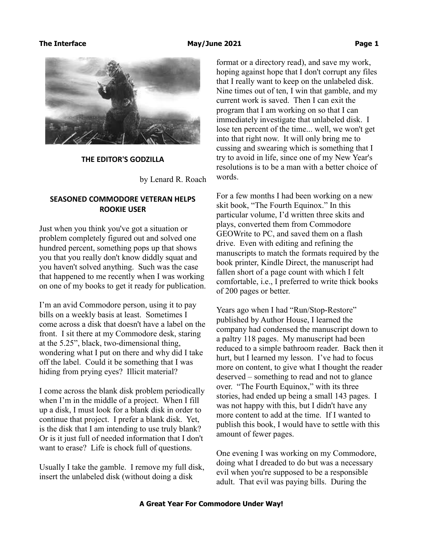

### **THE EDITOR'S GODZILLA**

by Lenard R. Roach

### **SEASONED COMMODORE VETERAN HELPS ROOKIE USER**

Just when you think you've got a situation or problem completely figured out and solved one hundred percent, something pops up that shows you that you really don't know diddly squat and you haven't solved anything. Such was the case that happened to me recently when I was working on one of my books to get it ready for publication.

I'm an avid Commodore person, using it to pay bills on a weekly basis at least. Sometimes I come across a disk that doesn't have a label on the front. I sit there at my Commodore desk, staring at the 5.25", black, two-dimensional thing, wondering what I put on there and why did I take off the label. Could it be something that I was hiding from prying eyes? Illicit material?

I come across the blank disk problem periodically when I'm in the middle of a project. When I fill up a disk, I must look for a blank disk in order to continue that project. I prefer a blank disk. Yet, is the disk that I am intending to use truly blank? Or is it just full of needed information that I don't want to erase? Life is chock full of questions.

Usually I take the gamble. I remove my full disk, insert the unlabeled disk (without doing a disk

format or a directory read), and save my work, hoping against hope that I don't corrupt any files that I really want to keep on the unlabeled disk. Nine times out of ten, I win that gamble, and my current work is saved. Then I can exit the program that I am working on so that I can immediately investigate that unlabeled disk. I lose ten percent of the time... well, we won't get into that right now. It will only bring me to cussing and swearing which is something that I try to avoid in life, since one of my New Year's resolutions is to be a man with a better choice of words.

For a few months I had been working on a new skit book, "The Fourth Equinox." In this particular volume, I'd written three skits and plays, converted them from Commodore GEOWrite to PC, and saved them on a flash drive. Even with editing and refining the manuscripts to match the formats required by the book printer, Kindle Direct, the manuscript had fallen short of a page count with which I felt comfortable, i.e., I preferred to write thick books of 200 pages or better.

Years ago when I had "Run/Stop-Restore" published by Author House, I learned the company had condensed the manuscript down to a paltry 118 pages. My manuscript had been reduced to a simple bathroom reader. Back then it hurt, but I learned my lesson. I've had to focus more on content, to give what I thought the reader deserved – something to read and not to glance over. "The Fourth Equinox," with its three stories, had ended up being a small 143 pages. I was not happy with this, but I didn't have any more content to add at the time. If I wanted to publish this book, I would have to settle with this amount of fewer pages.

One evening I was working on my Commodore, doing what I dreaded to do but was a necessary evil when you're supposed to be a responsible adult. That evil was paying bills. During the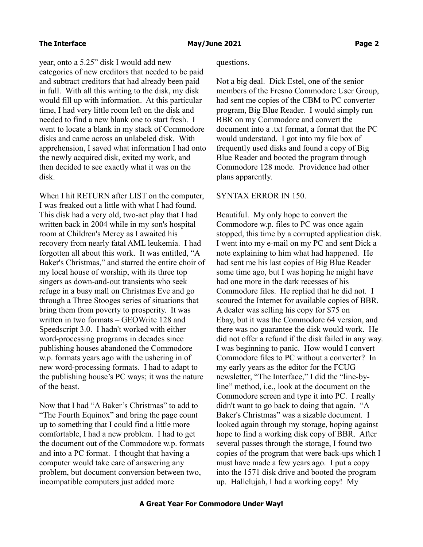year, onto a 5.25" disk I would add new categories of new creditors that needed to be paid and subtract creditors that had already been paid in full. With all this writing to the disk, my disk would fill up with information. At this particular time, I had very little room left on the disk and needed to find a new blank one to start fresh. I went to locate a blank in my stack of Commodore disks and came across an unlabeled disk. With apprehension, I saved what information I had onto the newly acquired disk, exited my work, and then decided to see exactly what it was on the disk.

When I hit RETURN after LIST on the computer, I was freaked out a little with what I had found. This disk had a very old, two-act play that I had written back in 2004 while in my son's hospital room at Children's Mercy as I awaited his recovery from nearly fatal AML leukemia. I had forgotten all about this work. It was entitled, "A Baker's Christmas," and starred the entire choir of my local house of worship, with its three top singers as down-and-out transients who seek refuge in a busy mall on Christmas Eve and go through a Three Stooges series of situations that bring them from poverty to prosperity. It was written in two formats – GEOWrite 128 and Speedscript 3.0. I hadn't worked with either word-processing programs in decades since publishing houses abandoned the Commodore w.p. formats years ago with the ushering in of new word-processing formats. I had to adapt to the publishing house's PC ways; it was the nature of the beast.

Now that I had "A Baker's Christmas" to add to "The Fourth Equinox" and bring the page count up to something that I could find a little more comfortable, I had a new problem. I had to get the document out of the Commodore w.p. formats and into a PC format. I thought that having a computer would take care of answering any problem, but document conversion between two, incompatible computers just added more

questions.

Not a big deal. Dick Estel, one of the senior members of the Fresno Commodore User Group, had sent me copies of the CBM to PC converter program, Big Blue Reader. I would simply run BBR on my Commodore and convert the document into a .txt format, a format that the PC would understand. I got into my file box of frequently used disks and found a copy of Big Blue Reader and booted the program through Commodore 128 mode. Providence had other plans apparently.

### SYNTAX ERROR IN 150.

Beautiful. My only hope to convert the Commodore w.p. files to PC was once again stopped, this time by a corrupted application disk. I went into my e-mail on my PC and sent Dick a note explaining to him what had happened. He had sent me his last copies of Big Blue Reader some time ago, but I was hoping he might have had one more in the dark recesses of his Commodore files. He replied that he did not. I scoured the Internet for available copies of BBR. A dealer was selling his copy for \$75 on Ebay, but it was the Commodore 64 version, and there was no guarantee the disk would work. He did not offer a refund if the disk failed in any way. I was beginning to panic. How would I convert Commodore files to PC without a converter? In my early years as the editor for the FCUG newsletter, "The Interface," I did the "line-byline" method, i.e., look at the document on the Commodore screen and type it into PC. I really didn't want to go back to doing that again. "A Baker's Christmas" was a sizable document. I looked again through my storage, hoping against hope to find a working disk copy of BBR. After several passes through the storage, I found two copies of the program that were back-ups which I must have made a few years ago. I put a copy into the 1571 disk drive and booted the program up. Hallelujah, I had a working copy! My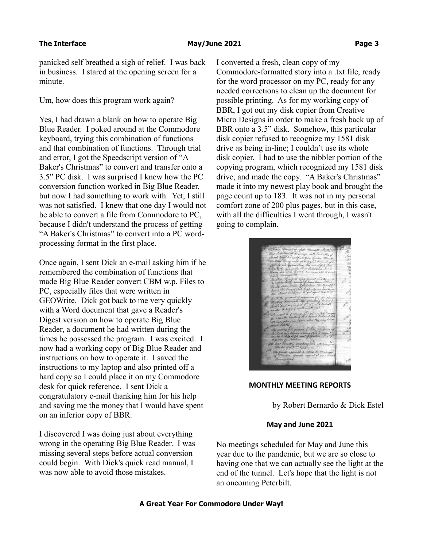panicked self breathed a sigh of relief. I was back in business. I stared at the opening screen for a minute.

Um, how does this program work again?

Yes, I had drawn a blank on how to operate Big Blue Reader. I poked around at the Commodore keyboard, trying this combination of functions and that combination of functions. Through trial and error, I got the Speedscript version of "A Baker's Christmas" to convert and transfer onto a 3.5" PC disk. I was surprised I knew how the PC conversion function worked in Big Blue Reader, but now I had something to work with. Yet, I still was not satisfied. I knew that one day I would not be able to convert a file from Commodore to PC, because I didn't understand the process of getting "A Baker's Christmas" to convert into a PC wordprocessing format in the first place.

Once again, I sent Dick an e-mail asking him if he remembered the combination of functions that made Big Blue Reader convert CBM w.p. Files to PC, especially files that were written in GEOWrite. Dick got back to me very quickly with a Word document that gave a Reader's Digest version on how to operate Big Blue Reader, a document he had written during the times he possessed the program. I was excited. I now had a working copy of Big Blue Reader and instructions on how to operate it. I saved the instructions to my laptop and also printed off a hard copy so I could place it on my Commodore desk for quick reference. I sent Dick a congratulatory e-mail thanking him for his help and saving me the money that I would have spent on an inferior copy of BBR.

I discovered I was doing just about everything wrong in the operating Big Blue Reader. I was missing several steps before actual conversion could begin. With Dick's quick read manual, I was now able to avoid those mistakes.

I converted a fresh, clean copy of my Commodore-formatted story into a .txt file, ready for the word processor on my PC, ready for any needed corrections to clean up the document for possible printing. As for my working copy of BBR, I got out my disk copier from Creative Micro Designs in order to make a fresh back up of BBR onto a 3.5" disk. Somehow, this particular disk copier refused to recognize my 1581 disk drive as being in-line; I couldn't use its whole disk copier. I had to use the nibbler portion of the copying program, which recognized my 1581 disk drive, and made the copy. "A Baker's Christmas" made it into my newest play book and brought the page count up to 183. It was not in my personal comfort zone of 200 plus pages, but in this case, with all the difficulties I went through, I wasn't going to complain.

**MONTHLY MEETING REPORTS**

by Robert Bernardo & Dick Estel

### **May and June 2021**

No meetings scheduled for May and June this year due to the pandemic, but we are so close to having one that we can actually see the light at the end of the tunnel. Let's hope that the light is not an oncoming Peterbilt.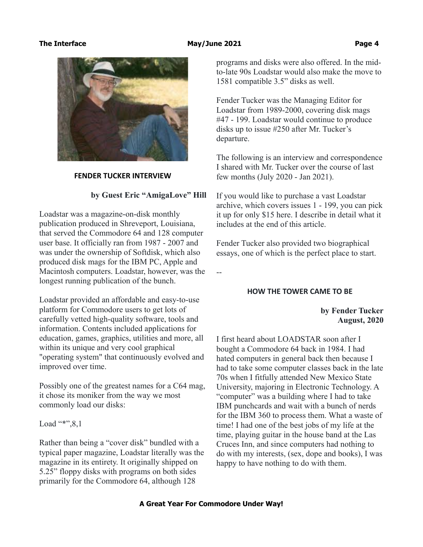

### **FENDER TUCKER INTERVIEW**

### **by Guest Eric "AmigaLove" Hill**

Loadstar was a magazine-on-disk monthly publication produced in Shreveport, Louisiana, that served the Commodore 64 and 128 computer user base. It officially ran from 1987 - 2007 and was under the ownership of Softdisk, which also produced disk mags for the IBM PC, Apple and Macintosh computers. Loadstar, however, was the longest running publication of the bunch.

Loadstar provided an affordable and easy-to-use platform for Commodore users to get lots of carefully vetted high-quality software, tools and information. Contents included applications for education, games, graphics, utilities and more, all within its unique and very cool graphical "operating system" that continuously evolved and improved over time.

Possibly one of the greatest names for a C64 mag, it chose its moniker from the way we most commonly load our disks:

Load "\*",8,1

Rather than being a "cover disk" bundled with a typical paper magazine, Loadstar literally was the magazine in its entirety. It originally shipped on 5.25" floppy disks with programs on both sides primarily for the Commodore 64, although 128

programs and disks were also offered. In the midto-late 90s Loadstar would also make the move to 1581 compatible 3.5" disks as well.

Fender Tucker was the Managing Editor for Loadstar from 1989-2000, covering disk mags #47 - 199. Loadstar would continue to produce disks up to issue #250 after Mr. Tucker's departure.

The following is an interview and correspondence I shared with Mr. Tucker over the course of last few months (July 2020 - Jan 2021).

If you would like to purchase a vast Loadstar archive, which covers issues 1 - 199, you can pick it up for only \$15 here. I describe in detail what it includes at the end of this article.

Fender Tucker also provided two biographical essays, one of which is the perfect place to start.

--

### **HOW THE TOWER CAME TO BE**

### **by Fender Tucker August, 2020**

I first heard about LOADSTAR soon after I bought a Commodore 64 back in 1984. I had hated computers in general back then because I had to take some computer classes back in the late 70s when I fitfully attended New Mexico State University, majoring in Electronic Technology. A "computer" was a building where I had to take IBM punchcards and wait with a bunch of nerds for the IBM 360 to process them. What a waste of time! I had one of the best jobs of my life at the time, playing guitar in the house band at the Las Cruces Inn, and since computers had nothing to do with my interests, (sex, dope and books), I was happy to have nothing to do with them.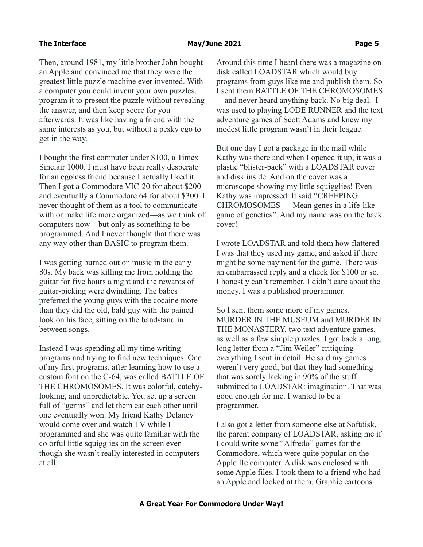Then, around 1981, my little brother John bought an Apple and convinced me that they were the greatest little puzzle machine ever invented. With a computer you could invent your own puzzles, program it to present the puzzle without revealing the answer, and then keep score for you afterwards. It was like having a friend with the same interests as you, but without a pesky ego to get in the way.

I bought the first computer under \$100, a Timex Sinclair 1000. I must have been really desperate for an egoless friend because I actually liked it. Then I got a Commodore VIC-20 for about \$200 and eventually a Commodore 64 for about \$300. I never thought of them as a tool to communicate with or make life more organized—as we think of computers now—but only as something to be programmed. And I never thought that there was any way other than BASIC to program them.

I was getting burned out on music in the early 80s. My back was killing me from holding the guitar for five hours a night and the rewards of guitar-picking were dwindling. The babes preferred the young guys with the cocaine more than they did the old, bald guy with the pained look on his face, sitting on the bandstand in between songs.

Instead I was spending all my time writing programs and trying to find new techniques. One of my first programs, after learning how to use a custom font on the C-64, was called BATTLE OF THE CHROMOSOMES. It was colorful, catchylooking, and unpredictable. You set up a screen full of "germs" and let them eat each other until one eventually won. My friend Kathy Delaney would come over and watch TV while I programmed and she was quite familiar with the colorful little squigglies on the screen even though she wasn't really interested in computers at all.

Around this time I heard there was a magazine on disk called LOADSTAR which would buy programs from guys like me and publish them. So I sent them BATTLE OF THE CHROMOSOMES —and never heard anything back. No big deal. I was used to playing LODE RUNNER and the text adventure games of Scott Adams and knew my modest little program wasn't in their league.

But one day I got a package in the mail while Kathy was there and when I opened it up, it was a plastic "blister-pack" with a LOADSTAR cover and disk inside. And on the cover was a microscope showing my little squigglies! Even Kathy was impressed. It said "CREEPING CHROMOSOMES — Mean genes in a life-like game of genetics". And my name was on the back cover!

I wrote LOADSTAR and told them how flattered I was that they used my game, and asked if there might be some payment for the game. There was an embarrassed reply and a check for \$100 or so. I honestly can't remember. I didn't care about the money. I was a published programmer.

So I sent them some more of my games. MURDER IN THE MUSEUM and MURDER IN THE MONASTERY, two text adventure games, as well as a few simple puzzles. I got back a long, long letter from a "Jim Weiler" critiquing everything I sent in detail. He said my games weren't very good, but that they had something that was sorely lacking in 90% of the stuff submitted to LOADSTAR: imagination. That was good enough for me. I wanted to be a programmer.

I also got a letter from someone else at Softdisk, the parent company of LOADSTAR, asking me if I could write some "Alfredo" games for the Commodore, which were quite popular on the Apple IIe computer. A disk was enclosed with some Apple files. I took them to a friend who had an Apple and looked at them. Graphic cartoons—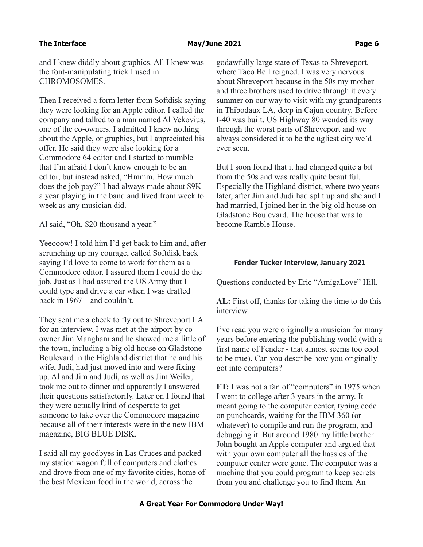### **The Interface Contract Contract Contract Contract May/June 2021 Contract Contract Contract Contract Contract Contract Contract Contract Contract Contract Contract Contract Contract Contract Contract Contract Contract Cont**

and I knew diddly about graphics. All I knew was the font-manipulating trick I used in CHROMOSOMES.

Then I received a form letter from Softdisk saying they were looking for an Apple editor. I called the company and talked to a man named Al Vekovius, one of the co-owners. I admitted I knew nothing about the Apple, or graphics, but I appreciated his offer. He said they were also looking for a Commodore 64 editor and I started to mumble that I'm afraid I don't know enough to be an editor, but instead asked, "Hmmm. How much does the job pay?" I had always made about \$9K a year playing in the band and lived from week to week as any musician did.

Al said, "Oh, \$20 thousand a year."

Yeeooow! I told him I'd get back to him and, after scrunching up my courage, called Softdisk back saying I'd love to come to work for them as a Commodore editor. I assured them I could do the job. Just as I had assured the US Army that I could type and drive a car when I was drafted back in 1967—and couldn't.

They sent me a check to fly out to Shreveport LA for an interview. I was met at the airport by coowner Jim Mangham and he showed me a little of the town, including a big old house on Gladstone Boulevard in the Highland district that he and his wife, Judi, had just moved into and were fixing up. Al and Jim and Judi, as well as Jim Weiler, took me out to dinner and apparently I answered their questions satisfactorily. Later on I found that they were actually kind of desperate to get someone to take over the Commodore magazine because all of their interests were in the new IBM magazine, BIG BLUE DISK.

I said all my goodbyes in Las Cruces and packed my station wagon full of computers and clothes and drove from one of my favorite cities, home of the best Mexican food in the world, across the

godawfully large state of Texas to Shreveport, where Taco Bell reigned. I was very nervous about Shreveport because in the 50s my mother and three brothers used to drive through it every summer on our way to visit with my grandparents in Thibodaux LA, deep in Cajun country. Before I-40 was built, US Highway 80 wended its way through the worst parts of Shreveport and we always considered it to be the ugliest city we'd ever seen.

But I soon found that it had changed quite a bit from the 50s and was really quite beautiful. Especially the Highland district, where two years later, after Jim and Judi had split up and she and I had married, I joined her in the big old house on Gladstone Boulevard. The house that was to become Ramble House.

--

### **Fender Tucker Interview, January 2021**

Questions conducted by Eric "AmigaLove" Hill.

**AL:** First off, thanks for taking the time to do this interview.

I've read you were originally a musician for many years before entering the publishing world (with a first name of Fender - that almost seems too cool to be true). Can you describe how you originally got into computers?

**FT:** I was not a fan of "computers" in 1975 when I went to college after 3 years in the army. It meant going to the computer center, typing code on punchcards, waiting for the IBM 360 (or whatever) to compile and run the program, and debugging it. But around 1980 my little brother John bought an Apple computer and argued that with your own computer all the hassles of the computer center were gone. The computer was a machine that you could program to keep secrets from you and challenge you to find them. An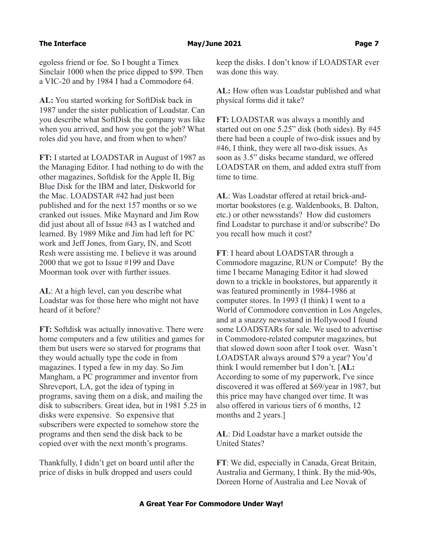### **The Interface Community Community Community Community May/June 2021 Community Community Community Community Community Community Community Community Community Community Community Community Community Community Community Com**

egoless friend or foe. So I bought a Timex Sinclair 1000 when the price dipped to \$99. Then a VIC-20 and by 1984 I had a Commodore 64.

**AL:** You started working for SoftDisk back in 1987 under the sister publication of Loadstar. Can you describe what SoftDisk the company was like when you arrived, and how you got the job? What roles did you have, and from when to when?

**FT:** I started at LOADSTAR in August of 1987 as the Managing Editor. I had nothing to do with the other magazines, Softdisk for the Apple II, Big Blue Disk for the IBM and later, Diskworld for the Mac. LOADSTAR #42 had just been published and for the next 157 months or so we cranked out issues. Mike Maynard and Jim Row did just about all of Issue #43 as I watched and learned. By 1989 Mike and Jim had left for PC work and Jeff Jones, from Gary, IN, and Scott Resh were assisting me. I believe it was around 2000 that we got to Issue #199 and Dave Moorman took over with further issues.

**AL**: At a high level, can you describe what Loadstar was for those here who might not have heard of it before?

**FT:** Softdisk was actually innovative. There were home computers and a few utilities and games for them but users were so starved for programs that they would actually type the code in from magazines. I typed a few in my day. So Jim Mangham, a PC programmer and inventor from Shreveport, LA, got the idea of typing in programs, saving them on a disk, and mailing the disk to subscribers. Great idea, but in 1981 5.25 in disks were expensive. So expensive that subscribers were expected to somehow store the programs and then send the disk back to be copied over with the next month's programs.

Thankfully, I didn't get on board until after the price of disks in bulk dropped and users could

keep the disks. I don't know if LOADSTAR ever was done this way.

**AL:** How often was Loadstar published and what physical forms did it take?

**FT:** LOADSTAR was always a monthly and started out on one 5.25" disk (both sides). By #45 there had been a couple of two-disk issues and by #46, I think, they were all two-disk issues. As soon as 3.5" disks became standard, we offered LOADSTAR on them, and added extra stuff from time to time.

**AL**: Was Loadstar offered at retail brick-andmortar bookstores (e.g. Waldenbooks, B. Dalton, etc.) or other newsstands? How did customers find Loadstar to purchase it and/or subscribe? Do you recall how much it cost?

**FT**: I heard about LOADSTAR through a Commodore magazine, RUN or Compute! By the time I became Managing Editor it had slowed down to a trickle in bookstores, but apparently it was featured prominently in 1984-1986 at computer stores. In 1993 (I think) I went to a World of Commodore convention in Los Angeles, and at a snazzy newsstand in Hollywood I found some LOADSTARs for sale. We used to advertise in Commodore-related computer magazines, but that slowed down soon after I took over. Wasn't LOADSTAR always around \$79 a year? You'd think I would remember but I don't. [**AL:** According to some of my paperwork, I've since discovered it was offered at \$69/year in 1987, but this price may have changed over time. It was also offered in various tiers of 6 months, 12 months and 2 years.]

**AL**: Did Loadstar have a market outside the United States?

**FT**: We did, especially in Canada, Great Britain, Australia and Germany, I think. By the mid-90s, Doreen Horne of Australia and Lee Novak of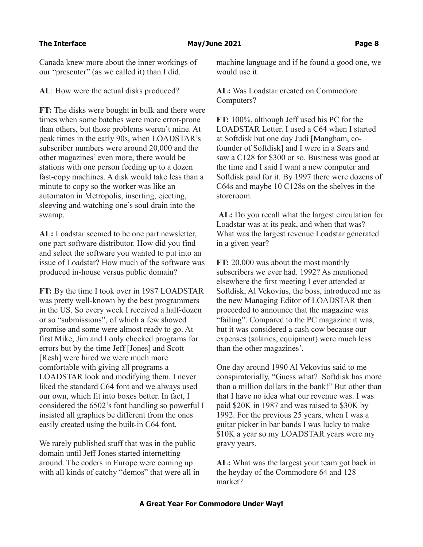Canada knew more about the inner workings of our "presenter" (as we called it) than I did.

**AL**: How were the actual disks produced?

**FT:** The disks were bought in bulk and there were times when some batches were more error-prone than others, but those problems weren't mine. At peak times in the early 90s, when LOADSTAR's subscriber numbers were around 20,000 and the other magazines' even more, there would be stations with one person feeding up to a dozen fast-copy machines. A disk would take less than a minute to copy so the worker was like an automaton in Metropolis, inserting, ejecting, sleeving and watching one's soul drain into the swamp.

**AL:** Loadstar seemed to be one part newsletter, one part software distributor. How did you find and select the software you wanted to put into an issue of Loadstar? How much of the software was produced in-house versus public domain?

**FT:** By the time I took over in 1987 LOADSTAR was pretty well-known by the best programmers in the US. So every week I received a half-dozen or so "submissions", of which a few showed promise and some were almost ready to go. At first Mike, Jim and I only checked programs for errors but by the time Jeff [Jones] and Scott [Resh] were hired we were much more comfortable with giving all programs a LOADSTAR look and modifying them. I never liked the standard C64 font and we always used our own, which fit into boxes better. In fact, I considered the 6502's font handling so powerful I insisted all graphics be different from the ones easily created using the built-in C64 font.

We rarely published stuff that was in the public domain until Jeff Jones started internetting around. The coders in Europe were coming up with all kinds of catchy "demos" that were all in machine language and if he found a good one, we would use it.

**AL:** Was Loadstar created on Commodore Computers?

**FT:** 100%, although Jeff used his PC for the LOADSTAR Letter. I used a C64 when I started at Softdisk but one day Judi [Mangham, cofounder of Softdisk] and I were in a Sears and saw a C128 for \$300 or so. Business was good at the time and I said I want a new computer and Softdisk paid for it. By 1997 there were dozens of C64s and maybe 10 C128s on the shelves in the storeroom.

**AL:** Do you recall what the largest circulation for Loadstar was at its peak, and when that was? What was the largest revenue Loadstar generated in a given year?

**FT:** 20,000 was about the most monthly subscribers we ever had. 1992? As mentioned elsewhere the first meeting I ever attended at Softdisk, Al Vekovius, the boss, introduced me as the new Managing Editor of LOADSTAR then proceeded to announce that the magazine was "failing". Compared to the PC magazine it was, but it was considered a cash cow because our expenses (salaries, equipment) were much less than the other magazines'.

One day around 1990 Al Vekovius said to me conspiratorially, "Guess what? Softdisk has more than a million dollars in the bank!" But other than that I have no idea what our revenue was. I was paid \$20K in 1987 and was raised to \$30K by 1992. For the previous 25 years, when I was a guitar picker in bar bands I was lucky to make \$10K a year so my LOADSTAR years were my gravy years.

**AL:** What was the largest your team got back in the heyday of the Commodore 64 and 128 market?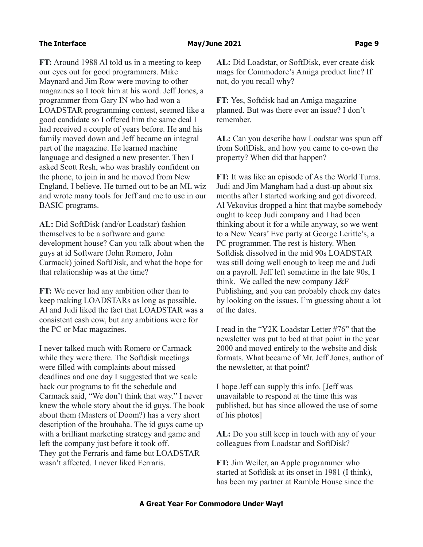### **The Interface Contract Contract Contract Contract May/June 2021 Contract Contract Contract Page 9**

**FT:** Around 1988 Al told us in a meeting to keep our eyes out for good programmers. Mike Maynard and Jim Row were moving to other magazines so I took him at his word. Jeff Jones, a programmer from Gary IN who had won a LOADSTAR programming contest, seemed like a good candidate so I offered him the same deal I had received a couple of years before. He and his family moved down and Jeff became an integral part of the magazine. He learned machine language and designed a new presenter. Then I asked Scott Resh, who was brashly confident on the phone, to join in and he moved from New England, I believe. He turned out to be an ML wiz and wrote many tools for Jeff and me to use in our BASIC programs.

**AL:** Did SoftDisk (and/or Loadstar) fashion themselves to be a software and game development house? Can you talk about when the guys at id Software (John Romero, John Carmack) joined SoftDisk, and what the hope for that relationship was at the time?

**FT:** We never had any ambition other than to keep making LOADSTARs as long as possible. Al and Judi liked the fact that LOADSTAR was a consistent cash cow, but any ambitions were for the PC or Mac magazines.

I never talked much with Romero or Carmack while they were there. The Softdisk meetings were filled with complaints about missed deadlines and one day I suggested that we scale back our programs to fit the schedule and Carmack said, "We don't think that way." I never knew the whole story about the id guys. The book about them (Masters of Doom?) has a very short description of the brouhaha. The id guys came up with a brilliant marketing strategy and game and left the company just before it took off. They got the Ferraris and fame but LOADSTAR wasn't affected. I never liked Ferraris.

**AL:** Did Loadstar, or SoftDisk, ever create disk mags for Commodore's Amiga product line? If not, do you recall why?

**FT:** Yes, Softdisk had an Amiga magazine planned. But was there ever an issue? I don't remember.

**AL:** Can you describe how Loadstar was spun off from SoftDisk, and how you came to co-own the property? When did that happen?

**FT:** It was like an episode of As the World Turns. Judi and Jim Mangham had a dust-up about six months after I started working and got divorced. Al Vekovius dropped a hint that maybe somebody ought to keep Judi company and I had been thinking about it for a while anyway, so we went to a New Years' Eve party at George Leritte's, a PC programmer. The rest is history. When Softdisk dissolved in the mid 90s LOADSTAR was still doing well enough to keep me and Judi on a payroll. Jeff left sometime in the late 90s, I think. We called the new company J&F Publishing, and you can probably check my dates by looking on the issues. I'm guessing about a lot of the dates.

I read in the "Y2K Loadstar Letter #76" that the newsletter was put to bed at that point in the year 2000 and moved entirely to the website and disk formats. What became of Mr. Jeff Jones, author of the newsletter, at that point?

I hope Jeff can supply this info. [Jeff was unavailable to respond at the time this was published, but has since allowed the use of some of his photos]

**AL:** Do you still keep in touch with any of your colleagues from Loadstar and SoftDisk?

**FT:** Jim Weiler, an Apple programmer who started at Softdisk at its onset in 1981 (I think), has been my partner at Ramble House since the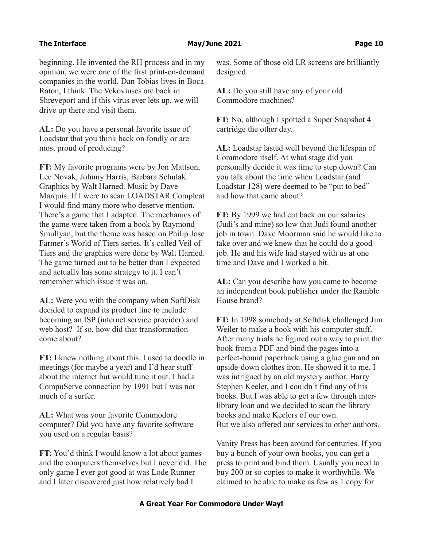### **The Interface Community Community Community Community May/June 2021** Community Community Page 10

beginning. He invented the RH process and in my opinion, we were one of the first print-on-demand companies in the world. Dan Tobias lives in Boca Raton, I think. The Vekoviuses are back in Shreveport and if this virus ever lets up, we will drive up there and visit them.

**AL:** Do you have a personal favorite issue of Loadstar that you think back on fondly or are most proud of producing?

**FT:** My favorite programs were by Jon Mattson, Lee Novak, Johnny Harris, Barbara Schulak. Graphics by Walt Harned. Music by Dave Marquis. If I were to scan LOADSTAR Compleat I would find many more who deserve mention. There's a game that I adapted. The mechanics of the game were taken from a book by Raymond Smullyan, but the theme was based on Philip Jose Farmer's World of Tiers series. It's called Veil of Tiers and the graphics were done by Walt Harned. The game turned out to be better than I expected and actually has some strategy to it. I can't remember which issue it was on.

**AL:** Were you with the company when SoftDisk decided to expand its product line to include becoming an ISP (internet service provider) and web host? If so, how did that transformation come about?

**FT:** I knew nothing about this. I used to doodle in meetings (for maybe a year) and I'd hear stuff about the internet but would tune it out. I had a CompuServe connection by 1991 but I was not much of a surfer.

**AL:** What was your favorite Commodore computer? Did you have any favorite software you used on a regular basis?

**FT:** You'd think I would know a lot about games and the computers themselves but I never did. The only game I ever got good at was Lode Runner and I later discovered just how relatively bad I

was. Some of those old LR screens are brilliantly designed.

**AL:** Do you still have any of your old Commodore machines?

**FT:** No, although I spotted a Super Snapshot 4 cartridge the other day.

**AL:** Loadstar lasted well beyond the lifespan of Commodore itself. At what stage did you personally decide it was time to step down? Can you talk about the time when Loadstar (and Loadstar 128) were deemed to be "put to bed" and how that came about?

**FT:** By 1999 we had cut back on our salaries (Judi's and mine) so low that Judi found another job in town. Dave Moorman said he would like to take over and we knew that he could do a good job. He and his wife had stayed with us at one time and Dave and I worked a bit.

**AL:** Can you describe how you came to become an independent book publisher under the Ramble House brand?

**FT:** In 1998 somebody at Softdisk challenged Jim Weiler to make a book with his computer stuff. After many trials he figured out a way to print the book from a PDF and bind the pages into a perfect-bound paperback using a glue gun and an upside-down clothes iron. He showed it to me. I was intrigued by an old mystery author, Harry Stephen Keeler, and I couldn't find any of his books. But I was able to get a few through interlibrary loan and we decided to scan the library books and make Keelers of our own. But we also offered our services to other authors.

Vanity Press has been around for centuries. If you buy a bunch of your own books, you can get a press to print and bind them. Usually you need to buy 200 or so copies to make it worthwhile. We claimed to be able to make as few as 1 copy for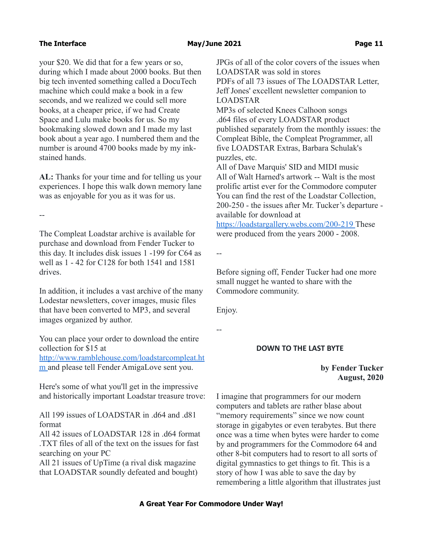your \$20. We did that for a few years or so, during which I made about 2000 books. But then big tech invented something called a DocuTech machine which could make a book in a few seconds, and we realized we could sell more books, at a cheaper price, if we had Create Space and Lulu make books for us. So my bookmaking slowed down and I made my last book about a year ago. I numbered them and the number is around 4700 books made by my inkstained hands.

**AL:** Thanks for your time and for telling us your experiences. I hope this walk down memory lane was as enjoyable for you as it was for us.

--

The Compleat Loadstar archive is available for purchase and download from Fender Tucker to this day. It includes disk issues 1 -199 for C64 as well as 1 - 42 for C128 for both 1541 and 1581 drives.

In addition, it includes a vast archive of the many Lodestar newsletters, cover images, music files that have been converted to MP3, and several images organized by author.

You can place your order to download the entire collection for \$15 at [http://www.ramblehouse.com/loadstarcompleat.ht](http://www.ramblehouse.com/loadstarcompleat.htm)

m and please tell Fender AmigaLove sent you.

Here's some of what you'll get in the impressive and historically important Loadstar treasure trove:

All 199 issues of LOADSTAR in .d64 and .d81 format

All 42 issues of LOADSTAR 128 in .d64 format .TXT files of all of the text on the issues for fast searching on your PC

All 21 issues of UpTime (a rival disk magazine that LOADSTAR soundly defeated and bought) JPGs of all of the color covers of the issues when LOADSTAR was sold in stores PDFs of all 73 issues of The LOADSTAR Letter, Jeff Jones' excellent newsletter companion to LOADSTAR

MP3s of selected Knees Calhoon songs .d64 files of every LOADSTAR product published separately from the monthly issues: the Compleat Bible, the Compleat Programmer, all five LOADSTAR Extras, Barbara Schulak's puzzles, etc.

All of Dave Marquis' SID and MIDI music All of Walt Harned's artwork -- Walt is the most prolific artist ever for the Commodore computer You can find the rest of the Loadstar Collection, 200-250 - the issues after Mr. Tucker's departure available for download at

<https://loadstargallery.webs.com/200-219> These were produced from the years 2000 - 2008.

--

Before signing off, Fender Tucker had one more small nugget he wanted to share with the Commodore community.

Enjoy.

--

### **DOWN TO THE LAST BYTE**

### **by Fender Tucker August, 2020**

I imagine that programmers for our modern computers and tablets are rather blase about "memory requirements" since we now count storage in gigabytes or even terabytes. But there once was a time when bytes were harder to come by and programmers for the Commodore 64 and other 8-bit computers had to resort to all sorts of digital gymnastics to get things to fit. This is a story of how I was able to save the day by remembering a little algorithm that illustrates just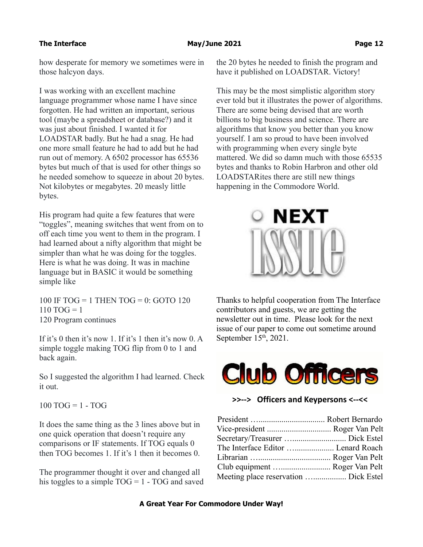### **The Interface The Interface Construction Channel May/June 2021 Construction Channel Page 12**

how desperate for memory we sometimes were in those halcyon days.

I was working with an excellent machine language programmer whose name I have since forgotten. He had written an important, serious tool (maybe a spreadsheet or database?) and it was just about finished. I wanted it for LOADSTAR badly. But he had a snag. He had one more small feature he had to add but he had run out of memory. A 6502 processor has 65536 bytes but much of that is used for other things so he needed somehow to squeeze in about 20 bytes. Not kilobytes or megabytes. 20 measly little bytes.

His program had quite a few features that were "toggles", meaning switches that went from on to off each time you went to them in the program. I had learned about a nifty algorithm that might be simpler than what he was doing for the toggles. Here is what he was doing. It was in machine language but in BASIC it would be something simple like

100 IF TOG = 1 THEN TOG = 0: GOTO 120  $110$  TOG = 1 120 Program continues

If it's 0 then it's now 1. If it's 1 then it's now 0. A simple toggle making TOG flip from 0 to 1 and back again.

So I suggested the algorithm I had learned. Check it out.

 $100$  TOG = 1 - TOG

It does the same thing as the 3 lines above but in one quick operation that doesn't require any comparisons or IF statements. If TOG equals 0 then TOG becomes 1. If it's 1 then it becomes 0.

The programmer thought it over and changed all his toggles to a simple  $TOG = 1 - TOG$  and saved

the 20 bytes he needed to finish the program and have it published on LOADSTAR. Victory!

This may be the most simplistic algorithm story ever told but it illustrates the power of algorithms. There are some being devised that are worth billions to big business and science. There are algorithms that know you better than you know yourself. I am so proud to have been involved with programming when every single byte mattered. We did so damn much with those 65535 bytes and thanks to Robin Harbron and other old LOADSTARites there are still new things happening in the Commodore World.



Thanks to helpful cooperation from The Interface contributors and guests, we are getting the newsletter out in time. Please look for the next issue of our paper to come out sometime around September  $15<sup>th</sup>$ , 2021.



**>>--> Officers and Keypersons <--<<**

| Vice-president  Roger Van Pelt        |
|---------------------------------------|
|                                       |
| The Interface Editor  Lenard Roach    |
|                                       |
| Club equipment  Roger Van Pelt        |
| Meeting place reservation  Dick Estel |
|                                       |